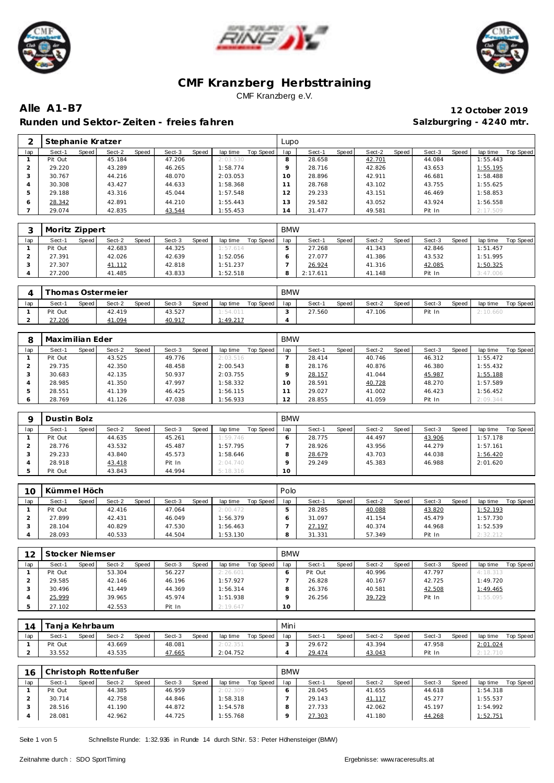





**Alle A1-B7 12 October 2019** Runden und Sektor-Zeiten - freies fahren **Salzburgring - 4240 mtr.** Salzburgring - 4240 mtr.

|              | Stephanie Kratzer |       |        |       |        |       |          |           | Lupo           |        |       |        |       |        |       |          |           |
|--------------|-------------------|-------|--------|-------|--------|-------|----------|-----------|----------------|--------|-------|--------|-------|--------|-------|----------|-----------|
| lap          | Sect-1            | Speed | Sect-2 | Speed | Sect-3 | Speed | lap time | Top Speed | lap            | Sect-1 | Speed | Sect-2 | Speed | Sect-3 | Speed | lap time | Top Speed |
|              | Pit Out           |       | 45.184 |       | 47.206 |       | 2:03.530 |           |                | 28.658 |       | 42.701 |       | 44.084 |       | 1:55.443 |           |
|              | 29.220            |       | 43.289 |       | 46.265 |       | 1:58.774 |           |                | 28.716 |       | 42.826 |       | 43.653 |       | 1:55.195 |           |
|              | 30.767            |       | 44.216 |       | 48.070 |       | 2:03.053 |           | 10             | 28.896 |       | 42.911 |       | 46.681 |       | 1:58.488 |           |
|              | 30.308            |       | 43.427 |       | 44.633 |       | 1:58.368 |           |                | 28.768 |       | 43.102 |       | 43.755 |       | 1:55.625 |           |
|              | 29.188            |       | 43.316 |       | 45.044 |       | 1:57.548 |           | $\overline{2}$ | 29.233 |       | 43.151 |       | 46.469 |       | 1:58.853 |           |
| <sub>o</sub> | 28.342            |       | 42.891 |       | 44.210 |       | 1:55.443 |           | 13             | 29.582 |       | 43.052 |       | 43.924 |       | 1:56.558 |           |
|              | 29.074            |       | 42.835 |       | 43.544 |       | 1:55.453 |           | 14             | 31.477 |       | 49.581 |       | Pit In |       | 2:17.509 |           |

|     | Moritz Zippert |         |        |              |        |       |          |           | <b>BMW</b> |          |         |        |       |        |              |          |           |
|-----|----------------|---------|--------|--------------|--------|-------|----------|-----------|------------|----------|---------|--------|-------|--------|--------------|----------|-----------|
| lap | Sect-1         | Speed I | Sect-2 | <b>Speed</b> | Sect-3 | Speed | lap time | Top Speed | lap        | Sect-1   | Speed i | Sect-2 | Speed | Sect-3 | <b>Speed</b> | lap time | Top Speed |
|     | Pit Out        |         | 42.683 |              | 44.325 |       | 1:57.614 |           |            | 27.268   |         | 41.343 |       | 42.846 |              | 1:51.457 |           |
|     | 27.391         |         | 42.026 |              | 42.639 |       | 1:52.056 |           |            | 27.077   |         | 41.386 |       | 43.532 |              | 1:51.995 |           |
|     | 27.307         |         | 41.112 |              | 42.818 |       | 1:51.237 |           |            | 26.924   |         | 41.316 |       | 42.085 |              | 1:50.325 |           |
|     | 27.200         |         | 41.485 |              | 43.833 |       | 1:52.518 |           |            | 2:17.611 |         | 41.148 |       | Pit In |              | 3:47.006 |           |

|     |         |       | Thomas Ostermeier |       |        |       |          |           | <b>BMW</b> |        |       |        |       |        |       |          |           |
|-----|---------|-------|-------------------|-------|--------|-------|----------|-----------|------------|--------|-------|--------|-------|--------|-------|----------|-----------|
| lap | Sect-1  | Speed | Sect-2            | Speed | Sect-3 | Speed | lap time | Top Speed | lap        | Sect-1 | Speed | Sect-2 | Speed | Sect-3 | Speed | lap time | Top Speed |
|     | Pit Out |       | 42.419            |       | 43.527 |       | 1:54.011 |           |            | 27.560 |       | 47.106 |       | Pit In |       | 2:10.660 |           |
|     | 27.206  |       | 41.094            |       | 40.917 |       | 1:49.217 |           |            |        |       |        |       |        |       |          |           |

|     | Maximilian Eder |       |        |       |        |       |          |           | <b>BMW</b> |        |       |        |       |        |       |          |           |
|-----|-----------------|-------|--------|-------|--------|-------|----------|-----------|------------|--------|-------|--------|-------|--------|-------|----------|-----------|
| lap | Sect-1          | Speed | Sect-2 | Speed | Sect-3 | Speed | lap time | Top Speed | lap        | Sect-1 | Speed | Sect-2 | Speed | Sect-3 | Speed | lap time | Top Speed |
|     | Pit Out         |       | 43.525 |       | 49.776 |       | 2:03.516 |           |            | 28.414 |       | 40.746 |       | 46.312 |       | 1:55.472 |           |
|     | 29.735          |       | 42.350 |       | 48.458 |       | 2:00.543 |           |            | 28.176 |       | 40.876 |       | 46.380 |       | 1:55.432 |           |
| - 0 | 30.683          |       | 42.135 |       | 50.937 |       | 2:03.755 |           |            | 28.157 |       | 41.044 |       | 45.987 |       | 1:55.188 |           |
|     | 28.985          |       | 41.350 |       | 47.997 |       | 1:58.332 |           | 10         | 28.591 |       | 40.728 |       | 48.270 |       | 1:57.589 |           |
|     | 28.551          |       | 41.139 |       | 46.425 |       | 1:56.115 |           |            | 29.027 |       | 41.002 |       | 46.423 |       | 1:56.452 |           |
| O   | 28.769          |       | 41.126 |       | 47.038 |       | 1:56.933 |           | 12         | 28.855 |       | 41.059 |       | Pit In |       | 2:09.344 |           |

|     | Dustin Bolz |       |        |       |        |              |          |           | <b>BMW</b> |        |       |        |       |        |       |          |           |
|-----|-------------|-------|--------|-------|--------|--------------|----------|-----------|------------|--------|-------|--------|-------|--------|-------|----------|-----------|
| lap | Sect-1      | Speed | Sect-2 | Speed | Sect-3 | <b>Speed</b> | lap time | Top Speed | lap        | Sect-1 | Speed | Sect-2 | Speed | Sect-3 | Speed | lap time | Top Speed |
|     | Pit Out     |       | 44.635 |       | 45.261 |              | 1:59.746 |           |            | 28.775 |       | 44.497 |       | 43.906 |       | 1:57.178 |           |
|     | 28.776      |       | 43.532 |       | 45.487 |              | 1:57.795 |           |            | 28.926 |       | 43.956 |       | 44.279 |       | 1:57.161 |           |
|     | 29.233      |       | 43.840 |       | 45.573 |              | 1:58.646 |           |            | 28.679 |       | 43.703 |       | 44.038 |       | 1:56.420 |           |
|     | 28.918      |       | 43.418 |       | Pit In |              | 2:04.740 |           |            | 29.249 |       | 45.383 |       | 46.988 |       | 2:01.620 |           |
|     | Pit Out     |       | 43.843 |       | 44.994 |              | 5:18.316 |           | 10         |        |       |        |       |        |       |          |           |

| 10  | Kümmel Höch |       |        |              |        |       |          |           | Polo |        |       |        |       |        |              |          |           |
|-----|-------------|-------|--------|--------------|--------|-------|----------|-----------|------|--------|-------|--------|-------|--------|--------------|----------|-----------|
| lap | Sect-1      | Speed | Sect-2 | <b>Speed</b> | Sect-3 | Speed | lap time | Top Speed | lap  | Sect-1 | Speed | Sect-2 | Speed | Sect-3 | <b>Speed</b> | lap time | Top Speed |
|     | Pit Out     |       | 42.416 |              | 47.064 |       | 2:00.472 |           |      | 28.285 |       | 40.088 |       | 43.820 |              | 1:52.193 |           |
|     | 27.899      |       | 42.431 |              | 46.049 |       | 1:56.379 |           |      | 31.097 |       | 41.154 |       | 45.479 |              | 1:57.730 |           |
|     | 28.104      |       | 40.829 |              | 47.530 |       | 1:56.463 |           |      | 27.197 |       | 40.374 |       | 44.968 |              | 1:52.539 |           |
|     | 28.093      |       | 40.533 |              | 44.504 |       | 1:53.130 |           |      | 31.331 |       | 57.349 |       | Pit In |              | 2:32.212 |           |

| 12  | Stocker Niemser |       |        |       |        |       |          |           | <b>BMW</b>      |         |       |        |       |        |       |          |           |
|-----|-----------------|-------|--------|-------|--------|-------|----------|-----------|-----------------|---------|-------|--------|-------|--------|-------|----------|-----------|
| lap | Sect-1          | Speed | Sect-2 | Speed | Sect-3 | Speed | lap time | Top Speed | lap             | Sect-1  | Speed | Sect-2 | Speed | Sect-3 | Speed | lap time | Top Speed |
|     | Pit Out         |       | 53.304 |       | 56.227 |       | 2:26.601 |           |                 | Pit Out |       | 40.996 |       | 47.797 |       | 4:18.313 |           |
|     | 29.585          |       | 42.146 |       | 46.196 |       | 1:57.927 |           |                 | 26.828  |       | 40.167 |       | 42.725 |       | 1:49.720 |           |
|     | 30.496          |       | 41.449 |       | 44.369 |       | 1:56.314 |           |                 | 26.376  |       | 40.581 |       | 42.508 |       | 1:49.465 |           |
|     | 25.999          |       | 39.965 |       | 45.974 |       | 1:51.938 |           |                 | 26.256  |       | 39.729 |       | Pit In |       | 1:55.095 |           |
|     | 27.102          |       | 42.553 |       | Pit In |       | 2:19.647 |           | 10 <sup>1</sup> |         |       |        |       |        |       |          |           |

|     | Tanja Kehrbaum |       |        |       |        |       |          |           | Mini |        |       |        |       |        |              |          |           |
|-----|----------------|-------|--------|-------|--------|-------|----------|-----------|------|--------|-------|--------|-------|--------|--------------|----------|-----------|
| lap | Sect-1         | Speed | Sect-2 | Speed | Sect-3 | Speed | lap time | Top Speed | lan  | Sect-  | Speed | Sect-2 | Speed | Sect-3 | <b>Speed</b> | lap time | Top Speed |
|     | Pit Out        |       | 43.669 |       | 48.081 |       | 2:02.351 |           |      | 29.672 |       | 43.394 |       | 47.958 |              | 2:01.024 |           |
|     | 33.552         |       | 43.535 |       | 47.665 |       | 2:04.752 |           |      | 29.474 |       | 43.043 |       | Pit In |              | 2:12.710 |           |

| 16  |         |       | Christoph Rottenfußer |       |        |       |          |           | <b>BMW</b> |        |       |        |       |        |       |          |           |
|-----|---------|-------|-----------------------|-------|--------|-------|----------|-----------|------------|--------|-------|--------|-------|--------|-------|----------|-----------|
| lap | Sect-1  | Speed | Sect-2                | Speed | Sect-3 | Speed | lap time | Top Speed | lap        | Sect-1 | Speed | Sect-2 | Speed | Sect-3 | Speed | lap time | Top Speed |
|     | Pit Out |       | 44.385                |       | 46.959 |       | 2:02.309 |           |            | 28.045 |       | 41.655 |       | 44.618 |       | 1:54.318 |           |
|     | 30.714  |       | 42.758                |       | 44.846 |       | 1:58.318 |           |            | 29.143 |       | 41.117 |       | 45.277 |       | 1:55.537 |           |
|     | 28.516  |       | 41.190                |       | 44.872 |       | 1:54.578 |           |            | 27.733 |       | 42.062 |       | 45.197 |       | 1:54.992 |           |
|     | 28.081  |       | 42.962                |       | 44.725 |       | 1:55.768 |           |            | 27.303 |       | 41.180 |       | 44.268 |       | 1:52.751 |           |

Seite 1 von 5 Schnellste Runde: 1:32.936 in Runde 14 durch StNr. 53: Peter Höhensteiger (BMW)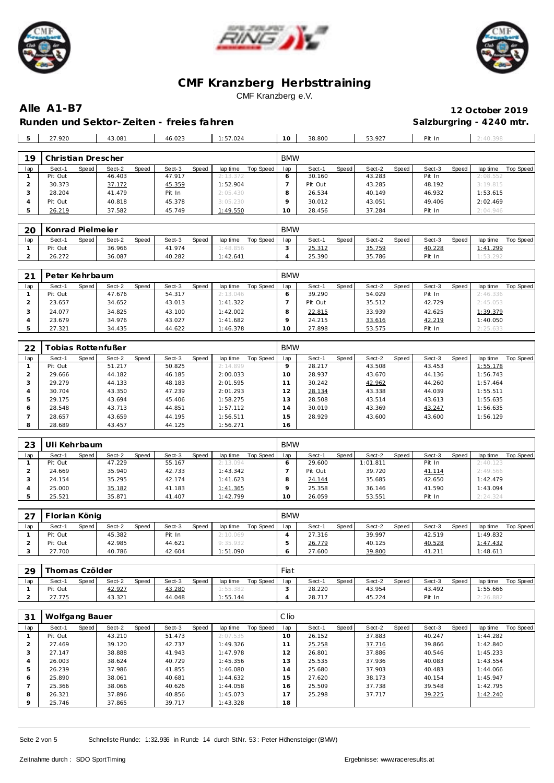





**Alle A1-B7 12 October 2019** Runden und Sektor-Zeiten - freies fahren **Salzburgring - 4240 mtr.** Salzburgring - 4240 mtr.

|     | 27.920             |       | 43.081 |       | 46.023 |       | :57.024                        |           | 10         | 38,800 |       | 53.927 |       | Pit In |       | $-40.398$                        |           |
|-----|--------------------|-------|--------|-------|--------|-------|--------------------------------|-----------|------------|--------|-------|--------|-------|--------|-------|----------------------------------|-----------|
|     |                    |       |        |       |        |       |                                |           |            |        |       |        |       |        |       |                                  |           |
| 19  | Christian Drescher |       |        |       |        |       |                                |           | <b>BMW</b> |        |       |        |       |        |       |                                  |           |
| lap | Sect-1             | Speed | Sect-2 | Speed | Sect-3 | Speed | lap time                       | Top Speed | lap        | Sect-1 | Speed | Sect-2 | Speed | Sect-3 | Speed | lap time                         | Top Speed |
|     |                    |       | .      |       | .      |       | and the state of the state and |           |            | ------ |       | .      |       |        |       | and the side of the same side of |           |

| iav | əeci-i<br>opeea | Sect-Z<br>opeeg | əeci- s<br><b>SDEEG</b> | iab unie<br>TOD ODEED. | ⊩au | əeci-i<br><b>SDEEGI</b> | oeci-∠<br>Speed l | əeci-ə<br><b>Speed</b> | iab une<br>Top opeed |
|-----|-----------------|-----------------|-------------------------|------------------------|-----|-------------------------|-------------------|------------------------|----------------------|
|     | Pit Out         | 46.403          | 47.917                  | 2:13.372               |     | 30.160                  | 43.283            | Pit In                 | 2:08.552             |
|     | 30.373          | 37.172          | 45.359                  | :52.904                |     | Pit Out                 | 43.285            | 48.192                 | 3:19.815             |
|     | 28.204          | 41.479          | Pit In                  | 2:05.430               |     | 26.534                  | 40.149            | 46.932                 | 1:53.615             |
|     | Pit Out         | 40.818          | 45.378                  | 3:05.230               |     | 30.012                  | 43.051            | 49.406                 | 2:02.469             |
|     | 26.219          | 37.582          | 45.749                  | : 49.550               | 10  | 28.456                  | 37.284            | Pit In                 | : 04.946             |

| 20  | Konrad Pielmeier |       |        |              |        |       |          |           | <b>BMW</b> |        |       |        |       |        |              |          |           |
|-----|------------------|-------|--------|--------------|--------|-------|----------|-----------|------------|--------|-------|--------|-------|--------|--------------|----------|-----------|
| lap | Sect-1           | Speed | Sect-2 | <b>Speed</b> | Sect-3 | Speed | lap time | Top Speed | lap        | Sect-1 | Speed | Sect-2 | Speed | Sect-3 | <b>Speed</b> | lap time | Top Speed |
|     | Pit Out          |       | 36.966 |              | 41.974 |       | 1:48.856 |           |            | 25.312 |       | 35.759 |       | 40.228 |              | 1:41.299 |           |
| -   | 26.272           |       | 36.087 |              | 40.282 |       | 1:42.641 |           |            | 25.390 |       | 35.786 |       | Pit In |              | 1:53.292 |           |

| 21  | Peter Kehrbaum |         |        |       |        |       |          |           | <b>BMW</b> |         |       |        |       |        |       |          |           |
|-----|----------------|---------|--------|-------|--------|-------|----------|-----------|------------|---------|-------|--------|-------|--------|-------|----------|-----------|
| lap | Sect-1         | Speed I | Sect-2 | Speed | Sect-3 | Speed | lap time | Top Speed | lap        | Sect-1  | Speed | Sect-2 | Speed | Sect-3 | Speed | lap time | Top Speed |
|     | Pit Out        |         | 47.676 |       | 54.317 |       | 2:13.046 |           |            | 39.290  |       | 54.029 |       | Pit In |       | 2:46.336 |           |
|     | 23.657         |         | 34.652 |       | 43.013 |       | 1:41.322 |           |            | Pit Out |       | 35.512 |       | 42.729 |       | 2:45.053 |           |
|     | 24.077         |         | 34.825 |       | 43.100 |       | 1:42.002 |           |            | 22.815  |       | 33.939 |       | 42.625 |       | 1:39.379 |           |
|     | 23.679         |         | 34.976 |       | 43.027 |       | 1:41.682 |           |            | 24.215  |       | 33.616 |       | 42.219 |       | 1:40.050 |           |
|     | 27.321         |         | 34.435 |       | 44.622 |       | 1:46.378 |           | 10         | 27.898  |       | 53.575 |       | Pit In |       | 2:25.633 |           |

| 22  |         |         | obias Rottenfußer |       |        |       |          |           | <b>BMW</b> |        |       |        |       |        |       |          |           |
|-----|---------|---------|-------------------|-------|--------|-------|----------|-----------|------------|--------|-------|--------|-------|--------|-------|----------|-----------|
| lap | Sect-1  | Speed I | Sect-2            | Speed | Sect-3 | Speed | lap time | Top Speed | lap        | Sect-1 | Speed | Sect-2 | Speed | Sect-3 | Speed | lap time | Top Speed |
|     | Pit Out |         | 51.217            |       | 50.825 |       | 2:14.899 |           |            | 28.217 |       | 43.508 |       | 43.453 |       | 1:55.178 |           |
|     | 29.666  |         | 44.182            |       | 46.185 |       | 2:00.033 |           | 10         | 28.937 |       | 43.670 |       | 44.136 |       | 1:56.743 |           |
|     | 29.279  |         | 44.133            |       | 48.183 |       | 2:01.595 |           |            | 30.242 |       | 42.962 |       | 44.260 |       | 1:57.464 |           |
| 4   | 30.704  |         | 43.350            |       | 47.239 |       | 2:01.293 |           | 12         | 28.134 |       | 43.338 |       | 44.039 |       | 1:55.511 |           |
| .5  | 29.175  |         | 43.694            |       | 45.406 |       | 1:58.275 |           | 1.3        | 28.508 |       | 43.514 |       | 43.613 |       | 1:55.635 |           |
| 6   | 28.548  |         | 43.713            |       | 44.851 |       | 1:57.112 |           | 14         | 30.019 |       | 43.369 |       | 43.247 |       | 1:56.635 |           |
|     | 28.657  |         | 43.659            |       | 44.195 |       | 1:56.511 |           | 15         | 28.929 |       | 43.600 |       | 43.600 |       | 1:56.129 |           |
| 8   | 28.689  |         | 43.457            |       | 44.125 |       | 1:56.271 |           | 16         |        |       |        |       |        |       |          |           |

| 23  | Uli Kehrbaum |       |        |       |        |       |          |           | <b>BMW</b> |         |       |          |       |        |       |          |           |
|-----|--------------|-------|--------|-------|--------|-------|----------|-----------|------------|---------|-------|----------|-------|--------|-------|----------|-----------|
| lap | Sect-1       | Speed | Sect-2 | Speed | Sect-3 | Speed | lap time | Top Speed | lap        | Sect-1  | Speed | Sect-2   | Speed | Sect-3 | Speed | lap time | Top Speed |
|     | Pit Out      |       | 47.229 |       | 55.167 |       | 2:13.094 |           |            | 29.600  |       | 1:01.811 |       | Pit In |       | 2:40.123 |           |
|     | 24.669       |       | 35.940 |       | 42.733 |       | 1:43.342 |           |            | Pit Out |       | 39.720   |       | 41.114 |       | 2:49.566 |           |
|     | 24.154       |       | 35.295 |       | 42.174 |       | 1:41.623 |           |            | 24.144  |       | 35.685   |       | 42.650 |       | 1:42.479 |           |
|     | 25.000       |       | 35.182 |       | 41.183 |       | 1:41.365 |           |            | 25.358  |       | 36.146   |       | 41.590 |       | 1:43.094 |           |
|     | 25.521       |       | 35.871 |       | 41.407 |       | 1:42.799 |           |            | 26.059  |       | 53.551   |       | Pit In |       | 2:24.324 |           |

| $\cap$ | Torian König |       |        |       |        |       |          |           | <b>BMW</b> |        |       |        |       |        |              |          |           |
|--------|--------------|-------|--------|-------|--------|-------|----------|-----------|------------|--------|-------|--------|-------|--------|--------------|----------|-----------|
| lap    | Sect-1       | Speed | Sect-2 | Speed | Sect-3 | Speed | lap time | Top Speed | lap        | Sect-1 | Speed | Sect-2 | Speed | Sect-3 | <b>Speed</b> | lap time | Top Speed |
|        | Pit Out      |       | 45.382 |       | Pit In |       | 2:10.069 |           |            | 27.316 |       | 39.997 |       | 42.519 |              | 1:49.832 |           |
|        | Pit Out      |       | 42.985 |       | 44.621 |       | 9:35.932 |           |            | 26.779 |       | 40.125 |       | 40.528 |              | 1:47.432 |           |
|        | 27.700       |       | 40.786 |       | 42.604 |       | 1:51.090 |           |            | 27.600 |       | 39.800 |       | 41.211 |              | 1:48.611 |           |

| 29  | Thomas Czölder |         |        |       |        |       |          |           | Fiat |        |       |        |       |        |       |          |           |
|-----|----------------|---------|--------|-------|--------|-------|----------|-----------|------|--------|-------|--------|-------|--------|-------|----------|-----------|
| lap | Sect-1         | Speed I | Sect-2 | Speed | Sect-3 | Speed | lap time | Top Speed | lap  | Sect-1 | Speed | Sect-2 | Speed | Sect-3 | Speed | lap time | Top Speed |
|     | Pit Out        |         | 42.927 |       | 43.280 |       | 1:55.382 |           |      | 28.220 |       | 43.954 |       | 43.492 |       | 1:55.666 |           |
|     | 27.775         |         | 43.321 |       | 44.048 |       | : 55.144 |           |      | 28.717 |       | 45.224 |       | Pit In |       | : 26.882 |           |

| 31      | Wolfgang Bauer |       |        |       |        |       |          |           | C lio          |        |       |        |       |        |       |          |           |
|---------|----------------|-------|--------|-------|--------|-------|----------|-----------|----------------|--------|-------|--------|-------|--------|-------|----------|-----------|
| lap     | Sect-1         | Speed | Sect-2 | Speed | Sect-3 | Speed | lap time | Top Speed | lap            | Sect-1 | Speed | Sect-2 | Speed | Sect-3 | Speed | lap time | Top Speed |
|         | Pit Out        |       | 43.210 |       | 51.473 |       | 2:07.535 |           | 10             | 26.152 |       | 37.883 |       | 40.247 |       | 1:44.282 |           |
|         | 27.469         |       | 39.120 |       | 42.737 |       | 1:49.326 |           | $\mathbf{A}$   | 25.258 |       | 37.716 |       | 39.866 |       | 1:42.840 |           |
|         | 27.147         |       | 38.888 |       | 41.943 |       | 1:47.978 |           | 12             | 26.801 |       | 37.886 |       | 40.546 |       | 1:45.233 |           |
| 4       | 26.003         |       | 38.624 |       | 40.729 |       | 1:45.356 |           | 13             | 25.535 |       | 37.936 |       | 40.083 |       | 1:43.554 |           |
|         | 26.239         |       | 37.986 |       | 41.855 |       | 1:46.080 |           | $\overline{a}$ | 25.680 |       | 37.903 |       | 40.483 |       | 1:44.066 |           |
| 6       | 25.890         |       | 38.061 |       | 40.681 |       | 1:44.632 |           | 5              | 27.620 |       | 38.173 |       | 40.154 |       | 1:45.947 |           |
|         | 25.366         |       | 38.066 |       | 40.626 |       | 1:44.058 |           | 16             | 25.509 |       | 37.738 |       | 39.548 |       | 1:42.795 |           |
| 8       | 26.321         |       | 37.896 |       | 40.856 |       | 1:45.073 |           | $\overline{ }$ | 25.298 |       | 37.717 |       | 39.225 |       | 1:42.240 |           |
| $\circ$ | 25.746         |       | 37.865 |       | 39.717 |       | 1:43.328 |           | 18             |        |       |        |       |        |       |          |           |

Seite 2 von 5 Schnellste Runde: 1:32.936 in Runde 14 durch StNr. 53 : Peter Höhensteiger (BMW)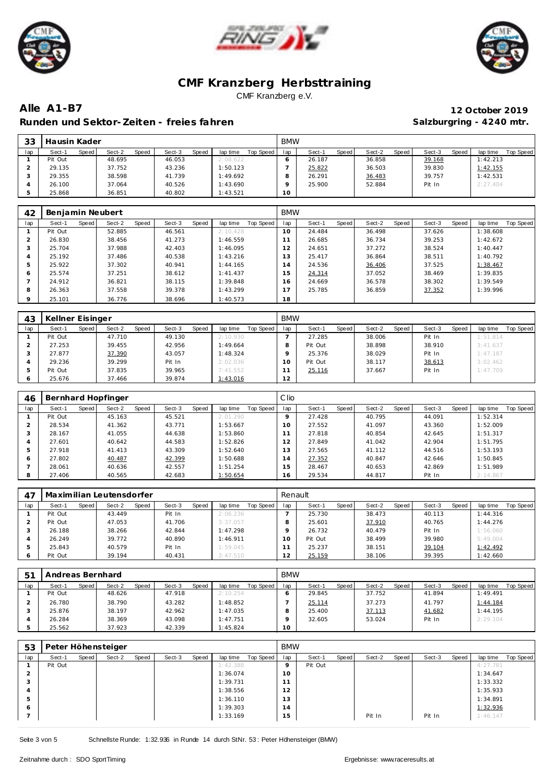





**Alle A1-B7 12 October 2019** Runden und Sektor-Zeiten - freies fahren **Salzburgring - 4240 mtr.** Salzburgring - 4240 mtr.

| つつ<br>ںں | Hausin Kader |       |        |       |        |              |          |           | <b>BMW</b> |        |       |        |       |        |              |          |           |
|----------|--------------|-------|--------|-------|--------|--------------|----------|-----------|------------|--------|-------|--------|-------|--------|--------------|----------|-----------|
| lap      | Sect-1       | Speed | Sect-2 | Speed | Sect-3 | <b>Speed</b> | lap time | Top Speed | lap        | Sect-1 | Speed | Sect-2 | Speed | Sect-3 | <b>Speed</b> | lap time | Top Speed |
|          | Pit Out      |       | 48.695 |       | 46.053 |              | 2:08.622 |           |            | 26.187 |       | 36.858 |       | 39.168 |              | 1:42.213 |           |
|          | 29.135       |       | 37.752 |       | 43.236 |              | 1:50.123 |           |            | 25.822 |       | 36.503 |       | 39.830 |              | 1:42.155 |           |
|          | 29.355       |       | 38.598 |       | 41.739 |              | 1:49.692 |           |            | 26.291 |       | 36.483 |       | 39.757 |              | 1:42.531 |           |
|          | 26.100       |       | 37.064 |       | 40.526 |              | 1:43.690 |           |            | 25.900 |       | 52.884 |       | Pit In |              | 2:27.404 |           |
|          | 25.868       |       | 36.851 |       | 40.802 |              | 1:43.521 |           | 10         |        |       |        |       |        |              |          |           |

| 42      | Benjamin Neubert |       |        |       |        |       |          |           | <b>BMW</b> |        |       |        |       |        |       |          |           |
|---------|------------------|-------|--------|-------|--------|-------|----------|-----------|------------|--------|-------|--------|-------|--------|-------|----------|-----------|
| lap     | Sect-1           | Speed | Sect-2 | Speed | Sect-3 | Speed | lap time | Top Speed | lap        | Sect-1 | Speed | Sect-2 | Speed | Sect-3 | Speed | lap time | Top Speed |
|         | Pit Out          |       | 52.885 |       | 46.561 |       | 2:10.428 |           | 10         | 24.484 |       | 36.498 |       | 37.626 |       | 1:38.608 |           |
|         | 26.830           |       | 38.456 |       | 41.273 |       | 1:46.559 |           | 11         | 26.685 |       | 36.734 |       | 39.253 |       | 1:42.672 |           |
| 3       | 25.704           |       | 37.988 |       | 42.403 |       | 1:46.095 |           | 12         | 24.651 |       | 37.272 |       | 38.524 |       | 1:40.447 |           |
| 4       | 25.192           |       | 37.486 |       | 40.538 |       | 1:43.216 |           | 13         | 25.417 |       | 36.864 |       | 38.511 |       | 1:40.792 |           |
| 5       | 25.922           |       | 37.302 |       | 40.941 |       | 1:44.165 |           | 14         | 24.536 |       | 36.406 |       | 37.525 |       | 1:38.467 |           |
| 6       | 25.574           |       | 37.251 |       | 38.612 |       | 1:41.437 |           | 15         | 24.314 |       | 37.052 |       | 38.469 |       | 1:39.835 |           |
|         | 24.912           |       | 36.821 |       | 38.115 |       | 1:39.848 |           | 16         | 24.669 |       | 36.578 |       | 38.302 |       | 1:39.549 |           |
| 8       | 26.363           |       | 37.558 |       | 39.378 |       | 1:43.299 |           | 17         | 25.785 |       | 36.859 |       | 37.352 |       | 1:39.996 |           |
| $\circ$ | 25.101           |       | 36.776 |       | 38.696 |       | 1:40.573 |           | 18         |        |       |        |       |        |       |          |           |

| 43  | Kellner Eisinger |       |        |       |        |       |          |           | <b>BMW</b> |         |       |        |       |        |       |          |           |
|-----|------------------|-------|--------|-------|--------|-------|----------|-----------|------------|---------|-------|--------|-------|--------|-------|----------|-----------|
| lap | Sect-1           | Speed | Sect-2 | Speed | Sect-3 | Speed | lap time | Top Speed | lap        | Sect-1  | Speed | Sect-2 | Speed | Sect-3 | Speed | lap time | Top Speed |
|     | Pit Out          |       | 47.710 |       | 49.130 |       | 2:10.930 |           |            | 27.285  |       | 38.006 |       | Pit In |       | 1:51.814 |           |
|     | 27.253           |       | 39.455 |       | 42.956 |       | 1:49.664 |           | 8          | Pit Out |       | 38.898 |       | 38.910 |       | 3:41.637 |           |
|     | 27.877           |       | 37.390 |       | 43.057 |       | 1:48.324 |           |            | 25.376  |       | 38.029 |       | Pit In |       | 1:47.187 |           |
|     | 29.236           |       | 39.299 |       | Pit In |       | 2:02.036 |           | 10         | Pit Out |       | 38.117 |       | 38.613 |       | 3:02.462 |           |
|     | Pit Out          |       | 37.835 |       | 39.965 |       | 7:41.552 |           |            | 25.116  |       | 37.667 |       | Pit In |       | 1:47.709 |           |
|     | 25.676           |       | 37.466 |       | 39.874 |       | 1:43.016 |           | 2          |         |       |        |       |        |       |          |           |

| 46  |         |       | Bernhard Hopfinger |       |        |       |          |           | Clio |        |       |        |       |        |       |          |           |
|-----|---------|-------|--------------------|-------|--------|-------|----------|-----------|------|--------|-------|--------|-------|--------|-------|----------|-----------|
| lap | Sect-1  | Speed | Sect-2             | Speed | Sect-3 | Speed | lap time | Top Speed | lap  | Sect-1 | Speed | Sect-2 | Speed | Sect-3 | Speed | lap time | Top Speed |
|     | Pit Out |       | 45.163             |       | 45.521 |       | 2:01.290 |           |      | 27.428 |       | 40.795 |       | 44.091 |       | 1:52.314 |           |
|     | 28.534  |       | 41.362             |       | 43.771 |       | 1:53.667 |           | 10   | 27.552 |       | 41.097 |       | 43.360 |       | 1:52.009 |           |
|     | 28.167  |       | 41.055             |       | 44.638 |       | 1:53.860 |           |      | 27.818 |       | 40.854 |       | 42.645 |       | 1:51.317 |           |
|     | 27.601  |       | 40.642             |       | 44.583 |       | 1:52.826 |           | 12   | 27.849 |       | 41.042 |       | 42.904 |       | 1:51.795 |           |
|     | 27.918  |       | 41.413             |       | 43.309 |       | 1:52.640 |           | 13   | 27.565 |       | 41.112 |       | 44.516 |       | 1:53.193 |           |
| O   | 27.802  |       | 40.487             |       | 42.399 |       | 1:50.688 |           | 14   | 27.352 |       | 40.847 |       | 42.646 |       | 1:50.845 |           |
|     | 28.061  |       | 40.636             |       | 42.557 |       | 1:51.254 |           | i 5. | 28.467 |       | 40.653 |       | 42.869 |       | 1:51.989 |           |
| 8   | 27.406  |       | 40.565             |       | 42.683 |       | 1:50.654 |           | 16   | 29.534 |       | 44.817 |       | Pit In |       | 2:14.867 |           |

| -47 |         |       | Maximilian Leutensdorfer |       |        |       |          |           | Renault   |         |       |        |       |        |       |          |           |
|-----|---------|-------|--------------------------|-------|--------|-------|----------|-----------|-----------|---------|-------|--------|-------|--------|-------|----------|-----------|
| lap | Sect-1  | Speed | Sect-2                   | Speed | Sect-3 | Speed | lap time | Top Speed | lap       | Sect-1  | Speed | Sect-2 | Speed | Sect-3 | Speed | lap time | Top Speed |
|     | Pit Out |       | 43.449                   |       | Pit In |       | 2:06.236 |           |           | 25.730  |       | 38.473 |       | 40.113 |       | 1:44.316 |           |
|     | Pit Out |       | 47.053                   |       | 41.706 |       | 3:37.057 |           |           | 25.601  |       | 37.910 |       | 40.765 |       | 1:44.276 |           |
|     | 26.188  |       | 38.266                   |       | 42.844 |       | 1:47.298 |           |           | 26.732  |       | 40.479 |       | Pit In |       | 1:56.060 |           |
|     | 26.249  |       | 39.772                   |       | 40.890 |       | 1:46.911 |           | 10        | Pit Out |       | 38.499 |       | 39.980 |       | 5:49.004 |           |
| 5   | 25.843  |       | 40.579                   |       | Pit In |       | 1:59.045 |           |           | 25.237  |       | 38.151 |       | 39.104 |       | 1:42.492 |           |
|     | Pit Out |       | 39.194                   |       | 40.431 |       | 3:47.510 |           | 12<br>ے ا | 25.159  |       | 38.106 |       | 39.395 |       | 1:42.660 |           |

| 51  | Andreas Bernhard |                 |                 |                       | <b>BMW</b> |                 |                 |                 |                       |
|-----|------------------|-----------------|-----------------|-----------------------|------------|-----------------|-----------------|-----------------|-----------------------|
| lap | Sect-1<br>Speed  | Sect-2<br>Speed | Speed<br>Sect-3 | lap time<br>Top Speed | lap        | Speed<br>Sect-1 | Sect-2<br>Speed | Sect-3<br>Speed | Top Speed<br>lap time |
|     | Pit Out          | 48.626          | 47.918          | 2:10.254              |            | 29.845          | 37.752          | 41.894          | 1:49.491              |
|     | 26.780           | 38.790          | 43.282          | 1:48.852              |            | 25.114          | 37.273          | 41.797          | 1:44.184              |
|     | 25.876           | 38.197          | 42.962          | 1:47.035              |            | 25.400          | 37.113          | 41.682          | 1:44.195              |
|     | 26.284           | 38.369          | 43.098          | 1:47.751              | a          | 32.605          | 53.024          | Pit In          | 2:29.104              |
|     | 25.562           | 37.923          | 42.339          | 1:45.824              | 10         |                 |                 |                 |                       |

| 53     |         |       | Peter Höhensteiger |       |        |       |          |           | <b>BMW</b> |         |       |        |       |        |       |          |           |
|--------|---------|-------|--------------------|-------|--------|-------|----------|-----------|------------|---------|-------|--------|-------|--------|-------|----------|-----------|
| lap    | Sect-1  | Speed | Sect-2             | Speed | Sect-3 | Speed | lap time | Top Speed | lap        | Sect-1  | Speed | Sect-2 | Speed | Sect-3 | Speed | lap time | Top Speed |
|        | Pit Out |       |                    |       |        |       | 1:42.388 |           | $\circ$    | Pit Out |       |        |       |        |       | 4:27.781 |           |
| $\sim$ |         |       |                    |       |        |       | 1:36.074 |           | 10         |         |       |        |       |        |       | 1:34.647 |           |
|        |         |       |                    |       |        |       | 1:39.731 |           | 11         |         |       |        |       |        |       | 1:33.332 |           |
| 4      |         |       |                    |       |        |       | 1:38.556 |           | 12         |         |       |        |       |        |       | 1:35.933 |           |
| 5      |         |       |                    |       |        |       | 1:36.110 |           | 13         |         |       |        |       |        |       | 1:34.891 |           |
| 6      |         |       |                    |       |        |       | 1:39.303 |           | 14         |         |       |        |       |        |       | 1:32.936 |           |
|        |         |       |                    |       |        |       | 1:33.169 |           | 15         |         |       | Pit In |       | Pit In |       | 1:46.147 |           |

Seite 3 von 5 Schnellste Runde: 1:32.936 in Runde 14 durch StNr. 53: Peter Höhensteiger (BMW)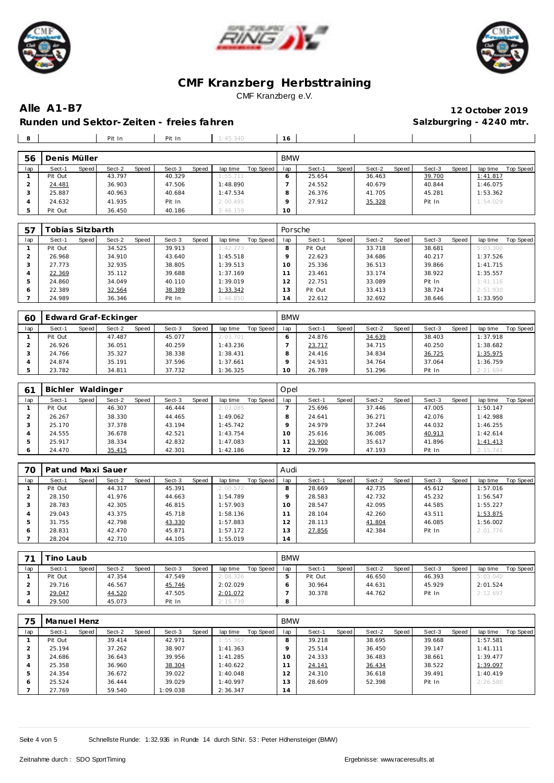





**Alle A1-B7 12 October 2019**

Runden und Sektor-Zeiten - freies fahren **Salzburgring - 4240 mtr.** Salzburgring - 4240 mtr.

| 8   |              |       | Pit In |       | Pit In |       | 1.45.340 |           | 6          |        |       |        |       |        |       |          |           |
|-----|--------------|-------|--------|-------|--------|-------|----------|-----------|------------|--------|-------|--------|-------|--------|-------|----------|-----------|
| 56  | Denis Müller |       |        |       |        |       |          |           | <b>BMW</b> |        |       |        |       |        |       |          |           |
| lap | Sect-1       | Speed | Sect-2 | Speed | Sect-3 | Speed | lap time | Top Speed | lap        | Sect-1 | Speed | Sect-2 | Speed | Sect-3 | Speed | lap time | Top Speed |
|     |              |       | .      |       | .      |       | .        |           |            | -----  |       | .      |       | ------ |       | .        |           |

| iad | Sect-1<br>ope ea | Sect-2<br><b>Speed</b> | Sect-3<br><b>Speed</b> | iap time<br>TOD SDEED I | lad | <b>Sect-1</b><br><b>SDEED</b> | Sect-2<br><b>Speed</b> | Sect-3<br>SDE ea | iab time<br>TOD Speed |
|-----|------------------|------------------------|------------------------|-------------------------|-----|-------------------------------|------------------------|------------------|-----------------------|
|     | Pit Out          | 43.797                 | 40.329                 | 1:55.711                |     | 25.654                        | 36.463                 | 39.700           | <u>1:41.817</u>       |
|     | 24.481           | 36.903                 | 47.506                 | 1:48.890                |     | 24.552                        | 40.679                 | 40.844           | 1:46.075              |
|     | 25.887           | 40.963                 | 40.684                 | 1:47.534                |     | 26.376                        | 41.705                 | 45.281           | 1:53.362              |
|     | 24.632           | 41.935                 | Pit In                 | 2:00.495                |     | 27.912                        | 35.328                 | Pit In           | 1:54.029              |
|     | Pit Out          | 36.450                 | 40.186                 | 3:46.159                | 10  |                               |                        |                  |                       |

| 57  | <sup>-</sup> obias Sitzbarth |       |        |       |        |       |          |           | Porsche |         |       |        |       |        |       |          |                  |
|-----|------------------------------|-------|--------|-------|--------|-------|----------|-----------|---------|---------|-------|--------|-------|--------|-------|----------|------------------|
| lap | Sect-1                       | Speed | Sect-2 | Speed | Sect-3 | Speed | lap time | Top Speed | lap     | Sect-1  | Speed | Sect-2 | Speed | Sect-3 | Speed | lap time | <b>Top Speed</b> |
|     | Pit Out                      |       | 34.525 |       | 39.913 |       | 1:42.773 |           |         | Pit Out |       | 33.718 |       | 38.681 |       | 5:03.300 |                  |
|     | 26.968                       |       | 34.910 |       | 43.640 |       | 1:45.518 |           |         | 22.623  |       | 34.686 |       | 40.217 |       | 1:37.526 |                  |
| د   | 27.773                       |       | 32.935 |       | 38.805 |       | 1:39.513 |           | 10      | 25.336  |       | 36.513 |       | 39.866 |       | 1:41.715 |                  |
| 4   | 22.369                       |       | 35.112 |       | 39.688 |       | 1:37.169 |           |         | 23.461  |       | 33.174 |       | 38.922 |       | 1:35.557 |                  |
| 5   | 24.860                       |       | 34.049 |       | 40.110 |       | 1:39.019 |           | 12      | 22.751  |       | 33.089 |       | Pit In |       | 1:41.116 |                  |
| 6   | 22.389                       |       | 32.564 |       | 38.389 |       | 1:33.342 |           | 3       | Pit Out |       | 33.413 |       | 38.724 |       | 2:51.930 |                  |
|     | 24.989                       |       | 36.346 |       | Pit In |       | 1:46.850 |           | 14      | 22.612  |       | 32.692 |       | 38.646 |       | 1:33.950 |                  |

| 60  | Edward Graf-Eckinger |              |        |       |        |       |          |           | <b>BMW</b> |        |       |        |       |        |       |          |           |
|-----|----------------------|--------------|--------|-------|--------|-------|----------|-----------|------------|--------|-------|--------|-------|--------|-------|----------|-----------|
| lap | Sect-1               | <b>Speed</b> | Sect-2 | Speed | Sect-3 | Speed | lap time | Top Speed | lap        | Sect-1 | Speed | Sect-2 | Speed | Sect-3 | Speed | lap time | Top Speed |
|     | Pit Out              |              | 47.487 |       | 45.077 |       | 2:03.701 |           |            | 24.876 |       | 34.639 |       | 38.403 |       | 1:37.918 |           |
|     | 26.926               |              | 36.051 |       | 40.259 |       | 1:43.236 |           |            | 23.717 |       | 34.715 |       | 40.250 |       | : 38.682 |           |
|     | 24.766               |              | 35.327 |       | 38.338 |       | 1:38.431 |           |            | 24.416 |       | 34.834 |       | 36.725 |       | 1:35.975 |           |
|     | 24.874               |              | 35.191 |       | 37.596 |       | 1:37.661 |           |            | 24.931 |       | 34.764 |       | 37.064 |       | 1:36.759 |           |
|     | 23.782               |              | 34.811 |       | 37.732 |       | 1:36.325 |           | O          | 26.789 |       | 51.296 |       | Pit In |       | 2:21.694 |           |

| 61  | Bichler |       | Waldinger |       |        |       |          |           | Opel |        |       |        |       |        |       |          |           |
|-----|---------|-------|-----------|-------|--------|-------|----------|-----------|------|--------|-------|--------|-------|--------|-------|----------|-----------|
| lap | Sect-1  | Speed | Sect-2    | Speed | Sect-3 | Speed | lap time | Top Speed | lap  | Sect-1 | Speed | Sect-2 | Speed | Sect-3 | Speed | lap time | Top Speed |
|     | Pit Out |       | 46.307    |       | 46.444 |       | 2:03.085 |           |      | 25.696 |       | 37.446 |       | 47.005 |       | 1:50.147 |           |
|     | 26.267  |       | 38.330    |       | 44.465 |       | 1:49.062 |           |      | 24.641 |       | 36.271 |       | 42.076 |       | 1:42.988 |           |
|     | 25.170  |       | 37.378    |       | 43.194 |       | 1:45.742 |           |      | 24.979 |       | 37.244 |       | 44.032 |       | 1:46.255 |           |
|     | 24.555  |       | 36.678    |       | 42.521 |       | 1:43.754 |           | 10   | 25.616 |       | 36.085 |       | 40.913 |       | 1:42.614 |           |
| b.  | 25.917  |       | 38.334    |       | 42.832 |       | 1:47.083 |           |      | 23.900 |       | 35.617 |       | 41.896 |       | 1:41.413 |           |
| O   | 24.470  |       | 35.415    |       | 42.301 |       | 1:42.186 |           | 12   | 29.799 |       | 47.193 |       | Pit In |       | 2:15.741 |           |

| 70  | Pat und Maxi Sauer |       |        |       |        |       |          |           | Audi |        |       |        |       |        |       |          |           |
|-----|--------------------|-------|--------|-------|--------|-------|----------|-----------|------|--------|-------|--------|-------|--------|-------|----------|-----------|
| lap | Sect-1             | Speed | Sect-2 | Speed | Sect-3 | Speed | lap time | Top Speed | lap  | Sect-1 | Speed | Sect-2 | Speed | Sect-3 | Speed | lap time | Top Speed |
|     | Pit Out            |       | 44.317 |       | 45.391 |       | 2:00.572 |           |      | 28.669 |       | 42.735 |       | 45.612 |       | 1:57.016 |           |
|     | 28.150             |       | 41.976 |       | 44.663 |       | 1:54.789 |           |      | 28.583 |       | 42.732 |       | 45.232 |       | 1:56.547 |           |
| 3   | 28.783             |       | 42.305 |       | 46.815 |       | 1:57.903 |           | 10   | 28.547 |       | 42.095 |       | 44.585 |       | 1:55.227 |           |
| 4   | 29.043             |       | 43.375 |       | 45.718 |       | 1:58.136 |           |      | 28.104 |       | 42.260 |       | 43.511 |       | 1:53.875 |           |
| 5   | 31.755             |       | 42.798 |       | 43.330 |       | 1:57.883 |           | 12   | 28.113 |       | 41.804 |       | 46.085 |       | 1:56.002 |           |
| 6   | 28.831             |       | 42.470 |       | 45.871 |       | 1:57.172 |           | . 3  | 27.856 |       | 42.384 |       | Pit In |       | 2:01.776 |           |
|     | 28.204             |       | 42.710 |       | 44.105 |       | 1:55.019 |           | 14   |        |       |        |       |        |       |          |           |

| 71  | ino Laubi |       |        |              |        |       |          |           | <b>BMW</b> |         |       |        |       |        |       |          |                  |
|-----|-----------|-------|--------|--------------|--------|-------|----------|-----------|------------|---------|-------|--------|-------|--------|-------|----------|------------------|
| lap | Sect-1    | Speed | Sect-2 | <b>Speed</b> | Sect-3 | Speed | lap time | Top Speed | lap        | Sect-1  | Speed | Sect-2 | Speed | Sect-3 | Speed | lap time | <b>Top Speed</b> |
|     | Pit Out   |       | 47.354 |              | 47.549 |       | 2:08.326 |           |            | Pit Out |       | 46.650 |       | 46.393 |       | 5:03.040 |                  |
|     | 29.716    |       | 46.567 |              | 45.746 |       | 2:02.029 |           |            | 30.964  |       | 44.631 |       | 45.929 |       | 2:01.524 |                  |
|     | 29.047    |       | 44.520 |              | 47.505 |       | 2:01.072 |           |            | 30.378  |       | 44.762 |       | Pit In |       | 2:12.697 |                  |
|     | 29.500    |       | 45.073 |              | Pit In |       | 2:15.739 |           |            |         |       |        |       |        |       |          |                  |

| 75  | Manuel Henz |       |        |       |          |       |          |           | <b>BMW</b> |        |       |        |       |        |       |           |           |
|-----|-------------|-------|--------|-------|----------|-------|----------|-----------|------------|--------|-------|--------|-------|--------|-------|-----------|-----------|
| lap | Sect-1      | Speed | Sect-2 | Speed | Sect-3   | Speed | lap time | Top Speed | lap        | Sect-1 | Speed | Sect-2 | Speed | Sect-3 | Speed | lap time  | Top Speed |
|     | Pit Out     |       | 39.414 |       | 42.971   |       | 1:55.367 |           | 8          | 39.218 |       | 38.695 |       | 39.668 |       | 1:57.581  |           |
|     | 25.194      |       | 37.262 |       | 38.907   |       | 1:41.363 |           |            | 25.514 |       | 36.450 |       | 39.147 |       | 1: 41.111 |           |
| 3   | 24.686      |       | 36.643 |       | 39.956   |       | 1:41.285 |           | 10         | 24.333 |       | 36.483 |       | 38.661 |       | 1:39.477  |           |
|     | 25.358      |       | 36.960 |       | 38.304   |       | 1:40.622 |           |            | 24.141 |       | 36.434 |       | 38.522 |       | 1:39.097  |           |
| 5   | 24.354      |       | 36.672 |       | 39.022   |       | 1:40.048 |           | 12         | 24.310 |       | 36.618 |       | 39.491 |       | 1:40.419  |           |
| 6   | 25.524      |       | 36.444 |       | 39.029   |       | 1:40.997 |           | 13         | 28.609 |       | 52.398 |       | Pit In |       | 2:26.580  |           |
|     | 27.769      |       | 59.540 |       | 1:09.038 |       | 2:36.347 |           | 14         |        |       |        |       |        |       |           |           |